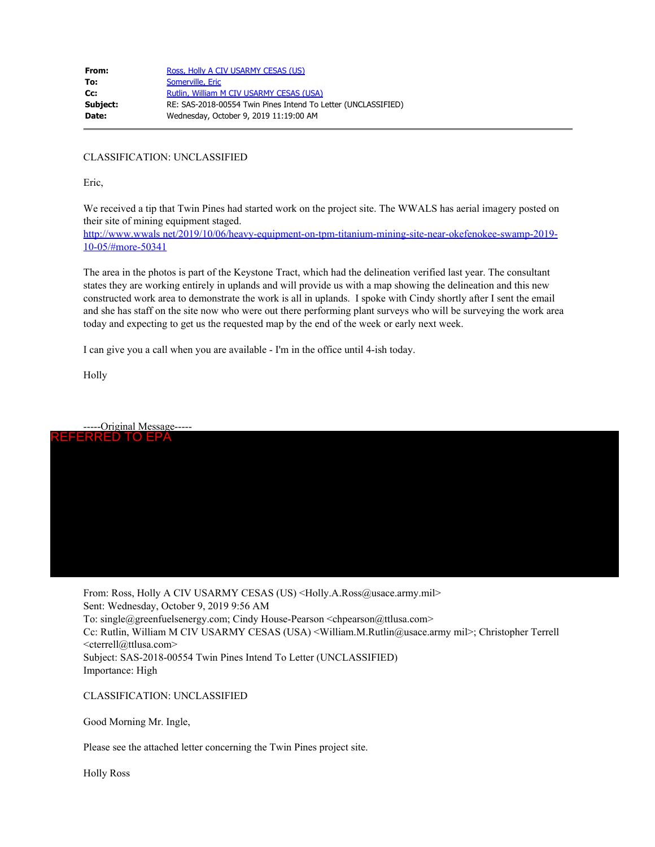| From:    | Ross, Holly A CIV USARMY CESAS (US)                           |
|----------|---------------------------------------------------------------|
| To:      | Somerville, Eric                                              |
| cc:      | Rutlin, William M CIV USARMY CESAS (USA)                      |
| Subject: | RE: SAS-2018-00554 Twin Pines Intend To Letter (UNCLASSIFIED) |
| Date:    | Wednesday, October 9, 2019 11:19:00 AM                        |
|          |                                                               |

CLASSIFICATION: UNCLASSIFIED

Eric,

We received a tip that Twin Pines had started work on the project site. The WWALS has aerial imagery posted on their site of mining equipment staged.

http://www.wwals net/2019/10/06/heavy-equipment-on-tpm-titanium-mining-site-near-okefenokee-swamp-2019- 10-05/#more-50341

The area in the photos is part of the Keystone Tract, which had the delineation verified last year. The consultant states they are working entirely in uplands and will provide us with a map showing the delineation and this new constructed work area to demonstrate the work is all in uplands. I spoke with Cindy shortly after I sent the email and she has staff on the site now who were out there performing plant surveys who will be surveying the work area today and expecting to get us the requested map by the end of the week or early next week.

I can give you a call when you are available - I'm in the office until 4-ish today.

Holly



From: Ross, Holly A CIV USARMY CESAS (US) <Holly.A.Ross@usace.army.mil> Sent: Wednesday, October 9, 2019 9:56 AM To: single@greenfuelsenergy.com; Cindy House-Pearson <chpearson@ttlusa.com> Cc: Rutlin, William M CIV USARMY CESAS (USA) <William.M.Rutlin@usace.army mil>; Christopher Terrell <cterrell@ttlusa.com> Subject: SAS-2018-00554 Twin Pines Intend To Letter (UNCLASSIFIED)

Importance: High

CLASSIFICATION: UNCLASSIFIED

Good Morning Mr. Ingle,

Please see the attached letter concerning the Twin Pines project site.

Holly Ross